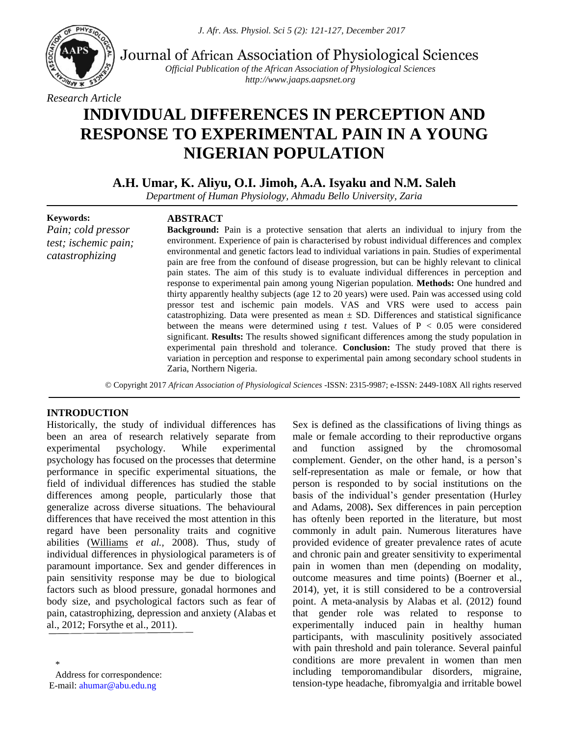

Journal of African Association of Physiological Sciences

*Official Publication of the African Association of Physiological Sciences http://www.jaaps.aapsnet.org*

#### *Research Article*

# **INDIVIDUAL DIFFERENCES IN PERCEPTION AND RESPONSE TO EXPERIMENTAL PAIN IN A YOUNG NIGERIAN POPULATION**

**A.H. Umar, K. Aliyu, O.I. Jimoh, A.A. Isyaku and N.M. Saleh**

*Department of Human Physiology, Ahmadu Bello University, Zaria*

#### **Keywords:**

*Pain; cold pressor test; ischemic pain; catastrophizing*

## **ABSTRACT**

**Background:** Pain is a protective sensation that alerts an individual to injury from the environment. Experience of pain is characterised by robust individual differences and complex environmental and genetic factors lead to individual variations in pain. Studies of experimental pain are free from the confound of disease progression, but can be highly relevant to clinical pain states. The aim of this study is to evaluate individual differences in perception and response to experimental pain among young Nigerian population. **Methods:** One hundred and thirty apparently healthy subjects (age 12 to 20 years) were used. Pain was accessed using cold pressor test and ischemic pain models. VAS and VRS were used to access pain catastrophizing. Data were presented as mean  $\pm$  SD. Differences and statistical significance between the means were determined using  $t$  test. Values of  $P < 0.05$  were considered significant. **Results:** The results showed significant differences among the study population in experimental pain threshold and tolerance. **Conclusion:** The study proved that there is variation in perception and response to experimental pain among secondary school students in Zaria, Northern Nigeria.

© Copyright 2017 *African Association of Physiological Sciences* -ISSN: 2315-9987; e-ISSN: 2449-108X All rights reserved

## **INTRODUCTION**

Historically, the study of individual differences has been an area of research relatively separate from experimental psychology. While experimental psychology has focused on the processes that determine performance in specific experimental situations, the field of individual differences has studied the stable differences among people, particularly those that generalize across diverse situations. The behavioural differences that have received the most attention in this regard have been personality traits and cognitive abilities [\(Williams](https://www.ncbi.nlm.nih.gov/pubmed/?term=Williams%20B%5BAuthor%5D&cauthor=true&cauthor_uid=18831127) *et al.,* 2008). Thus, study of individual differences in physiological parameters is of paramount importance. Sex and gender differences in pain sensitivity response may be due to biological factors such as blood pressure, gonadal hormones and body size, and psychological factors such as fear of pain, catastrophizing, depression and anxiety (Alabas et al., 2012; Forsythe et al., 2011).

Sex is defined as the classifications of living things as male or female according to their reproductive organs and function assigned by the chromosomal complement. Gender, on the other hand, is a person's self-representation as male or female, or how that person is responded to by social institutions on the basis of the individual's gender presentation (Hurley and Adams, 2008)**.** Sex differences in pain perception has oftenly been reported in the literature, but most commonly in adult pain. Numerous literatures have provided evidence of greater prevalence rates of acute and chronic pain and greater sensitivity to experimental pain in women than men (depending on modality, outcome measures and time points) (Boerner et al., 2014), yet, it is still considered to be a controversial point. A meta-analysis by Alabas et al. (2012) found that gender role was related to response to experimentally induced pain in healthy human participants, with masculinity positively associated with pain threshold and pain tolerance. Several painful conditions are more prevalent in women than men including temporomandibular disorders, migraine, tension-type headache, fibromyalgia and irritable bowel

<sup>\*</sup> Address for correspondence: E-mail: [ahumar@abu.edu.ng](mailto:ahumar@abu.edu.ng)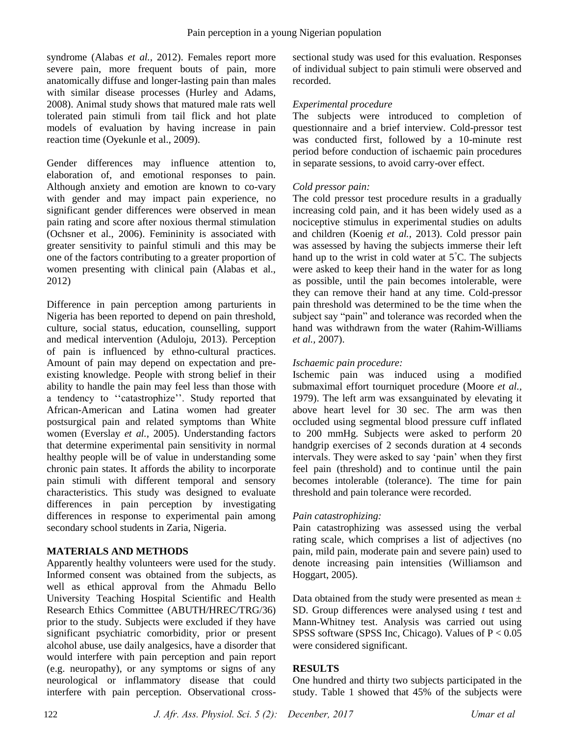syndrome (Alabas *et al.,* 2012). Females report more severe pain, more frequent bouts of pain, more anatomically diffuse and longer-lasting pain than males with similar disease processes (Hurley and Adams, 2008). Animal study shows that matured male rats well tolerated pain stimuli from tail flick and hot plate models of evaluation by having increase in pain reaction time (Oyekunle et al., 2009).

Gender differences may influence attention to, elaboration of, and emotional responses to pain. Although anxiety and emotion are known to co-vary with gender and may impact pain experience, no significant gender differences were observed in mean pain rating and score after noxious thermal stimulation (Ochsner et al., 2006). Femininity is associated with greater sensitivity to painful stimuli and this may be one of the factors contributing to a greater proportion of women presenting with clinical pain (Alabas et al., 2012)

Difference in pain perception among parturients in Nigeria has been reported to depend on pain threshold, culture, social status, education, counselling, support and medical intervention (Aduloju, 2013). Perception of pain is influenced by ethno-cultural practices. Amount of pain may depend on expectation and preexisting knowledge. People with strong belief in their ability to handle the pain may feel less than those with a tendency to ''catastrophize''. Study reported that African-American and Latina women had greater postsurgical pain and related symptoms than White women (Everslay *et al.,* 2005). Understanding factors that determine experimental pain sensitivity in normal healthy people will be of value in understanding some chronic pain states. It affords the ability to incorporate pain stimuli with different temporal and sensory characteristics. This study was designed to evaluate differences in pain perception by investigating differences in response to experimental pain among secondary school students in Zaria, Nigeria.

## **MATERIALS AND METHODS**

Apparently healthy volunteers were used for the study. Informed consent was obtained from the subjects, as well as ethical approval from the Ahmadu Bello University Teaching Hospital Scientific and Health Research Ethics Committee (ABUTH/HREC/TRG/36) prior to the study. Subjects were excluded if they have significant psychiatric comorbidity, prior or present alcohol abuse, use daily analgesics, have a disorder that would interfere with pain perception and pain report (e.g. neuropathy), or any symptoms or signs of any neurological or inflammatory disease that could interfere with pain perception. Observational crosssectional study was used for this evaluation. Responses of individual subject to pain stimuli were observed and recorded.

### *Experimental procedure*

The subjects were introduced to completion of questionnaire and a brief interview. Cold-pressor test was conducted first, followed by a 10-minute rest period before conduction of ischaemic pain procedures in separate sessions, to avoid carry-over effect.

#### *Cold pressor pain:*

The cold pressor test procedure results in a gradually increasing cold pain, and it has been widely used as a nociceptive stimulus in experimental studies on adults and children (Koenig *et al.,* 2013). Cold pressor pain was assessed by having the subjects immerse their left hand up to the wrist in cold water at  $5^{\circ}$ C. The subjects were asked to keep their hand in the water for as long as possible, until the pain becomes intolerable, were they can remove their hand at any time. Cold-pressor pain threshold was determined to be the time when the subject say "pain" and tolerance was recorded when the hand was withdrawn from the water (Rahim-Williams *et al.,* 2007).

### *Ischaemic pain procedure:*

Ischemic pain was induced using a modified submaximal effort tourniquet procedure (Moore *et al.,* 1979). The left arm was exsanguinated by elevating it above heart level for 30 sec. The arm was then occluded using segmental blood pressure cuff inflated to 200 mmHg. Subjects were asked to perform 20 handgrip exercises of 2 seconds duration at 4 seconds intervals. They were asked to say 'pain' when they first feel pain (threshold) and to continue until the pain becomes intolerable (tolerance). The time for pain threshold and pain tolerance were recorded.

## *Pain catastrophizing:*

Pain catastrophizing was assessed using the verbal rating scale, which comprises a list of adjectives (no pain, mild pain, moderate pain and severe pain) used to denote increasing pain intensities (Williamson and Hoggart, 2005).

Data obtained from the study were presented as mean  $\pm$ SD. Group differences were analysed using *t* test and Mann-Whitney test. Analysis was carried out using SPSS software (SPSS Inc, Chicago). Values of P < 0.05 were considered significant.

#### **RESULTS**

One hundred and thirty two subjects participated in the study. Table 1 showed that 45% of the subjects were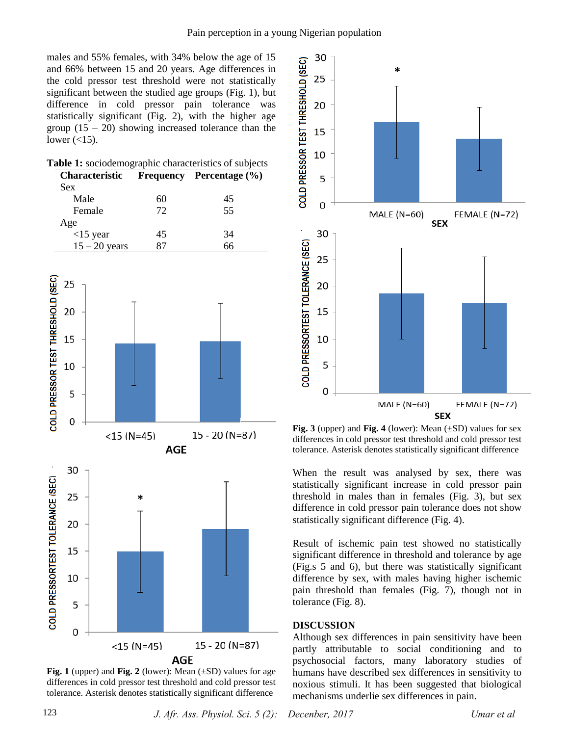males and 55% females, with 34% below the age of 15 and 66% between 15 and 20 years. Age differences in the cold pressor test threshold were not statistically significant between the studied age groups (Fig. 1), but difference in cold pressor pain tolerance was statistically significant (Fig. 2), with the higher age group  $(15 - 20)$  showing increased tolerance than the lower  $\left(\langle 15 \rangle\right)$ .

|                                                                     | Table 1: sociodemographic characteristics of subjects |                  |            |                |  |  |
|---------------------------------------------------------------------|-------------------------------------------------------|------------------|------------|----------------|--|--|
| Characteristic<br>Sex                                               |                                                       | <b>Frequency</b> |            | Percentage (%) |  |  |
| Male                                                                |                                                       | 60               |            | 45             |  |  |
| Female                                                              |                                                       | 72               |            | 55             |  |  |
| Age                                                                 |                                                       |                  |            |                |  |  |
| $<$ 15 year                                                         |                                                       | 45               |            | 34             |  |  |
| $15 - 20$ years                                                     |                                                       | 87               |            | 66             |  |  |
| COLD PRESSOR TEST THRESHOLD (SEC)<br>25<br>20<br>15<br>10<br>5<br>0 |                                                       |                  |            |                |  |  |
|                                                                     | $<$ 15 (N=45)                                         |                  | <b>AGE</b> | 15 - 20 (N=87) |  |  |
| 30                                                                  |                                                       |                  |            |                |  |  |
| RTEST TOLERANCE (SEC)<br>25                                         |                                                       | *                |            |                |  |  |
| 20                                                                  |                                                       |                  |            |                |  |  |
| 15                                                                  |                                                       |                  |            |                |  |  |
| 10                                                                  |                                                       |                  |            |                |  |  |
| COLD PRESSO<br>5                                                    |                                                       |                  |            |                |  |  |
| 0                                                                   |                                                       |                  |            |                |  |  |
|                                                                     |                                                       | $<$ 15 (N=45)    | AGE        | 15 - 20 (N=87) |  |  |

**Fig. 1** (upper) and **Fig. 2** (lower): Mean (±SD) values for age differences in cold pressor test threshold and cold pressor test tolerance. Asterisk denotes statistically significant difference



**Fig. 3** (upper) and **Fig. 4** (lower): Mean (±SD) values for sex differences in cold pressor test threshold and cold pressor test tolerance. Asterisk denotes statistically significant difference

When the result was analysed by sex, there was statistically significant increase in cold pressor pain threshold in males than in females (Fig. 3), but sex difference in cold pressor pain tolerance does not show statistically significant difference (Fig. 4).

Result of ischemic pain test showed no statistically significant difference in threshold and tolerance by age (Fig.s 5 and 6), but there was statistically significant difference by sex, with males having higher ischemic pain threshold than females (Fig. 7), though not in tolerance (Fig. 8).

#### **DISCUSSION**

Although sex differences in pain sensitivity have been partly attributable to social conditioning and to psychosocial factors, many laboratory studies of humans have described sex differences in sensitivity to noxious stimuli. It has been suggested that biological mechanisms underlie sex differences in pain.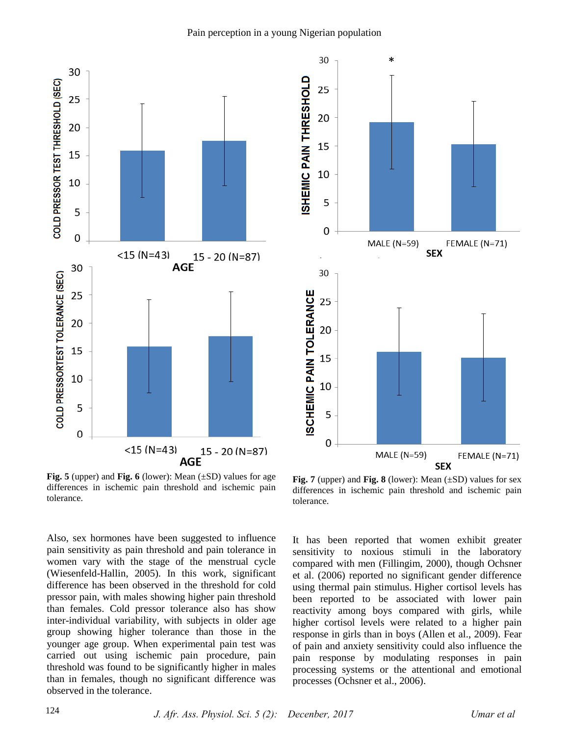



**Fig. 5** (upper) and **Fig. 6** (lower): Mean (±SD) values for age differences in ischemic pain threshold and ischemic pain tolerance.

Also, sex hormones have been suggested to influence pain sensitivity as pain threshold and pain tolerance in women vary with the stage of the menstrual cycle (Wiesenfeld-Hallin, 2005). In this work, significant difference has been observed in the threshold for cold pressor pain, with males showing higher pain threshold than females. Cold pressor tolerance also has show inter-individual variability, with subjects in older age group showing higher tolerance than those in the younger age group. When experimental pain test was carried out using ischemic pain procedure, pain threshold was found to be significantly higher in males than in females, though no significant difference was observed in the tolerance.

**Fig. 7** (upper) and **Fig. 8** (lower): Mean (±SD) values for sex differences in ischemic pain threshold and ischemic pain tolerance.

It has been reported that women exhibit greater sensitivity to noxious stimuli in the laboratory compared with men (Fillingim, 2000), though Ochsner et al. (2006) reported no significant gender difference using thermal pain stimulus. Higher cortisol levels has been reported to be associated with lower pain reactivity among boys compared with girls, while higher cortisol levels were related to a higher pain response in girls than in boys (Allen et al., 2009). Fear of pain and anxiety sensitivity could also influence the pain response by modulating responses in pain processing systems or the attentional and emotional processes (Ochsner et al., 2006).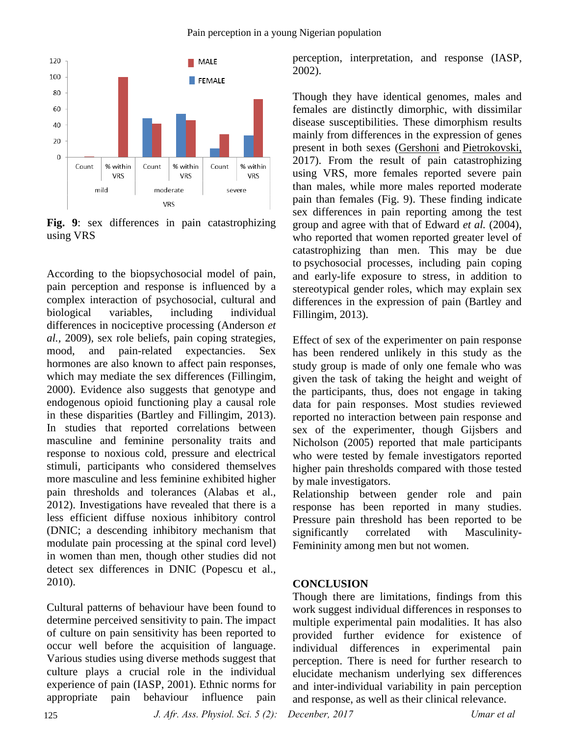

**Fig. 9**: sex differences in pain catastrophizing using VRS

According to the biopsychosocial model of pain, pain perception and response is influenced by a complex interaction of psychosocial, cultural and biological variables, including individual differences in nociceptive processing (Anderson *et al.,* 2009), sex role beliefs, pain coping strategies, mood, and pain-related expectancies. Sex hormones are also known to affect pain responses, which may mediate the sex differences (Fillingim, 2000). Evidence also suggests that genotype and endogenous opioid functioning play a causal role in these disparities (Bartley and Fillingim, 2013). In studies that reported correlations between masculine and feminine personality traits and response to noxious cold, pressure and electrical stimuli, participants who considered themselves more masculine and less feminine exhibited higher pain thresholds and tolerances (Alabas et al., 2012). Investigations have revealed that there is a less efficient diffuse noxious inhibitory control (DNIC; a descending inhibitory mechanism that modulate pain processing at the spinal cord level) in women than men, though other studies did not detect sex differences in DNIC (Popescu et al., 2010).

Cultural patterns of behaviour have been found to determine perceived sensitivity to pain. The impact of culture on pain sensitivity has been reported to occur well before the acquisition of language. Various studies using diverse methods suggest that culture plays a crucial role in the individual experience of pain (IASP, 2001). Ethnic norms for appropriate pain behaviour influence pain

perception, interpretation, and response (IASP, 2002).

Though they have identical genomes, males and females are distinctly dimorphic, with dissimilar disease susceptibilities. These dimorphism results mainly from differences in the expression of genes present in both sexes [\(Gershoni](https://www.ncbi.nlm.nih.gov/pubmed/?term=Gershoni%20M%5BAuthor%5D&cauthor=true&cauthor_uid=28173793) and [Pietrokovski,](https://www.ncbi.nlm.nih.gov/pubmed/?term=Pietrokovski%20S%5BAuthor%5D&cauthor=true&cauthor_uid=28173793)  2017). From the result of pain catastrophizing using VRS, more females reported severe pain than males, while more males reported moderate pain than females (Fig. 9). These finding indicate sex differences in pain reporting among the test group and agree with that of Edward *et al.* (2004), who reported that women reported greater level of catastrophizing than men. This may be due to psychosocial processes, including pain coping and early-life exposure to stress, in addition to stereotypical gender roles, which may explain sex differences in the expression of pain (Bartley and Fillingim, 2013).

Effect of sex of the experimenter on pain response has been rendered unlikely in this study as the study group is made of only one female who was given the task of taking the height and weight of the participants, thus, does not engage in taking data for pain responses. Most studies reviewed reported no interaction between pain response and sex of the experimenter, though Gijsbers and Nicholson (2005) reported that male participants who were tested by female investigators reported higher pain thresholds compared with those tested by male investigators.

Relationship between gender role and pain response has been reported in many studies. Pressure pain threshold has been reported to be significantly correlated with Masculinity-Femininity among men but not women.

# **CONCLUSION**

Though there are limitations, findings from this work suggest individual differences in responses to multiple experimental pain modalities. It has also provided further evidence for existence of individual differences in experimental pain perception. There is need for further research to elucidate mechanism underlying sex differences and inter-individual variability in pain perception and response, as well as their clinical relevance.

*J. Afr. Ass. Physiol. Sci. 5 (2): Decenber, 2017 Umar et al*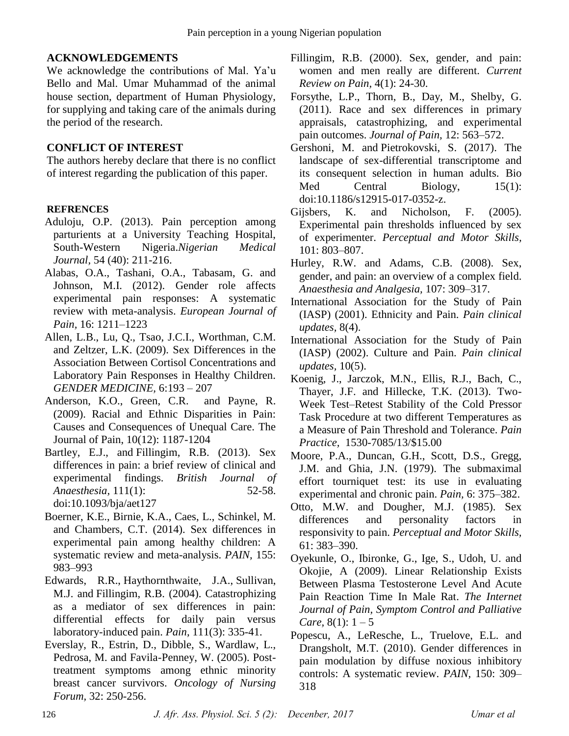# **ACKNOWLEDGEMENTS**

We acknowledge the contributions of Mal. Ya'u Bello and Mal. Umar Muhammad of the animal house section, department of Human Physiology, for supplying and taking care of the animals during the period of the research.

# **CONFLICT OF INTEREST**

The authors hereby declare that there is no conflict of interest regarding the publication of this paper.

# **REFRENCES**

- Aduloju, O.P. (2013). Pain perception among parturients at a University Teaching Hospital, South-Western Nigeria.*Nigerian Medical Journal,* 54 (40): 211-216.
- Alabas, O.A., Tashani, O.A., Tabasam, G. and Johnson, M.I. (2012). Gender role affects experimental pain responses: A systematic review with meta-analysis. *European Journal of Pain,* 16: 1211–1223
- Allen, L.B., Lu, Q., Tsao, J.C.I., Worthman, C.M. and Zeltzer, L.K. (2009). Sex Differences in the Association Between Cortisol Concentrations and Laboratory Pain Responses in Healthy Children. *GENDER MEDICINE,* 6:193 – 207
- Anderson, K.O., Green, C.R. and Payne, R. (2009). Racial and Ethnic Disparities in Pain: Causes and Consequences of Unequal Care. The Journal of Pain, 10(12): 1187-1204
- [Bartley, E.J.](https://www.ncbi.nlm.nih.gov/pubmed/?term=Bartley%20EJ%5BAuthor%5D&cauthor=true&cauthor_uid=23794645), and [Fillingim, R.B.](https://www.ncbi.nlm.nih.gov/pubmed/?term=Fillingim%20RB%5BAuthor%5D&cauthor=true&cauthor_uid=23794645) (2013). Sex differences in pain: a brief review of clinical and experimental findings. *[British Journal of](https://www.ncbi.nlm.nih.gov/pubmed/23794645)  [Anaesthesia,](https://www.ncbi.nlm.nih.gov/pubmed/23794645)* 111(1): 52-58. doi:10.1093/bja/aet127
- Boerner, K.E., Birnie, K.A., Caes, L., Schinkel, M. and Chambers, C.T. (2014). Sex differences in experimental pain among healthy children: A systematic review and meta-analysis. *PAIN,* 155: 983–993
- [Edwards, R.R.](https://www.ncbi.nlm.nih.gov/pubmed/?term=Edwards%20RR%5BAuthor%5D&cauthor=true&cauthor_uid=15363877), [Haythornthwaite, J.A.](https://www.ncbi.nlm.nih.gov/pubmed/?term=Haythornthwaite%20JA%5BAuthor%5D&cauthor=true&cauthor_uid=15363877), [Sullivan,](https://www.ncbi.nlm.nih.gov/pubmed/?term=Sullivan%20MJ%5BAuthor%5D&cauthor=true&cauthor_uid=15363877)  [M.J.](https://www.ncbi.nlm.nih.gov/pubmed/?term=Sullivan%20MJ%5BAuthor%5D&cauthor=true&cauthor_uid=15363877) and [Fillingim, R.B.](https://www.ncbi.nlm.nih.gov/pubmed/?term=Fillingim%20RB%5BAuthor%5D&cauthor=true&cauthor_uid=15363877) (2004). Catastrophizing as a mediator of sex differences in pain: differential effects for daily pain versus laboratory-induced pain. *[Pain,](https://www.ncbi.nlm.nih.gov/pubmed/15363877)* 111(3): 335-41.
- Everslay, R., Estrin, D., Dibble, S., Wardlaw, L., Pedrosa, M. and Favila-Penney, W. (2005). Posttreatment symptoms among ethnic minority breast cancer survivors. *Oncology of Nursing Forum,* 32: 250-256.
- [Fillingim, R.B.](https://www.ncbi.nlm.nih.gov/pubmed/?term=Fillingim%20RB%5BAuthor%5D&cauthor=true&cauthor_uid=10998712) (2000). Sex, gender, and pain: women and men really are different. *[Current](https://www.ncbi.nlm.nih.gov/pubmed/10998712)  [Review on Pain,](https://www.ncbi.nlm.nih.gov/pubmed/10998712)* 4(1): 24-30.
- Forsythe, L.P., Thorn, B., Day, M., Shelby, G. (2011). Race and sex differences in primary appraisals, catastrophizing, and experimental pain outcomes. *Journal of Pain,* 12: 563–572.
- [Gershoni, M.](https://www.ncbi.nlm.nih.gov/pubmed/?term=Gershoni%20M%5BAuthor%5D&cauthor=true&cauthor_uid=28173793) and [Pietrokovski, S.](https://www.ncbi.nlm.nih.gov/pubmed/?term=Pietrokovski%20S%5BAuthor%5D&cauthor=true&cauthor_uid=28173793) (2017). The landscape of sex-differential transcriptome and its consequent selection in human adults. [Bio](https://www.ncbi.nlm.nih.gov/pubmed/28173793)  [Med Central Biology,](https://www.ncbi.nlm.nih.gov/pubmed/28173793) 15(1): doi:10.1186/s12915-017-0352-z.
- Gijsbers, K. and Nicholson, F. (2005). Experimental pain thresholds influenced by sex of experimenter. *Perceptual and Motor Skills,*  101: 803–807.
- Hurley, R.W. and Adams, C.B. (2008). Sex, gender, and pain: an overview of a complex field. *Anaesthesia and Analgesia,* 107: 309–317.
- International Association for the Study of Pain (IASP) (2001). Ethnicity and Pain. *Pain clinical updates,* 8(4).
- International Association for the Study of Pain (IASP) (2002). Culture and Pain. *Pain clinical updates,* 10(5).
- Koenig, J., Jarczok, M.N., Ellis, R.J., Bach, C., Thayer, J.F. and Hillecke, T.K. (2013). Two-Week Test–Retest Stability of the Cold Pressor Task Procedure at two different Temperatures as a Measure of Pain Threshold and Tolerance. *Pain Practice,* 1530-7085/13/\$15.00
- Moore, P.A., Duncan, G.H., Scott, D.S., Gregg, J.M. and Ghia, J.N. (1979). The submaximal effort tourniquet test: its use in evaluating experimental and chronic pain. *Pain,* 6: 375–382.
- Otto, M.W. and Dougher, M.J. (1985). Sex differences and personality factors in responsivity to pain. *Perceptual and Motor Skills,*  61: 383–390.
- Oyekunle, O., Ibironke, G., Ige, S., Udoh, U. and Okojie, A (2009). Linear Relationship Exists Between Plasma Testosterone Level And Acute Pain Reaction Time In Male Rat. *The Internet Journal of Pain, Symptom Control and Palliative Care,*  $8(1): 1-5$
- Popescu, A., LeResche, L., Truelove, E.L. and Drangsholt, M.T. (2010). Gender differences in pain modulation by diffuse noxious inhibitory controls: A systematic review. *PAIN,* 150: 309– 318